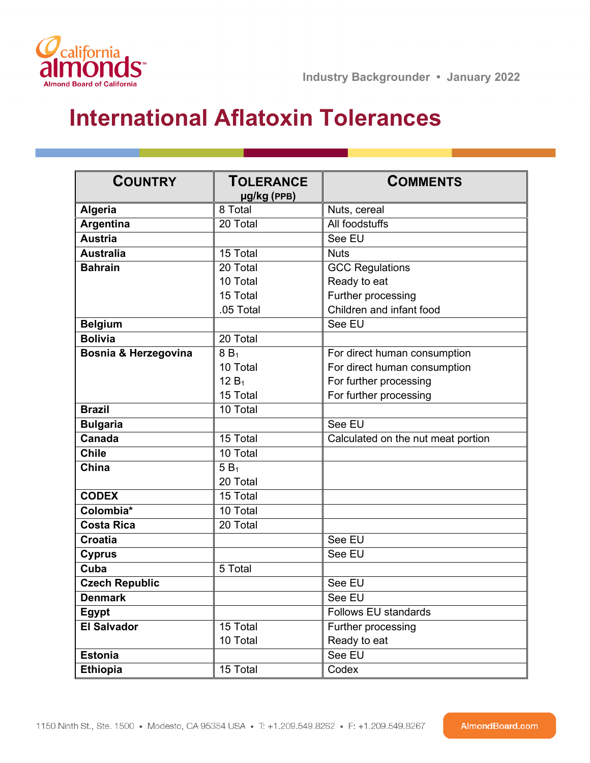

## **International Aflatoxin Tolerances**

| <b>COUNTRY</b>        | <b>TOLERANCE</b><br>µg/kg (PPB) | <b>COMMENTS</b>                    |
|-----------------------|---------------------------------|------------------------------------|
| Algeria               | 8 Total                         | Nuts, cereal                       |
| Argentina             | 20 Total                        | All foodstuffs                     |
| <b>Austria</b>        |                                 | See EU                             |
| <b>Australia</b>      | 15 Total                        | <b>Nuts</b>                        |
| <b>Bahrain</b>        | 20 Total                        | <b>GCC Regulations</b>             |
|                       | 10 Total                        | Ready to eat                       |
|                       | 15 Total                        | Further processing                 |
|                       | .05 Total                       | Children and infant food           |
| <b>Belgium</b>        |                                 | See EU                             |
| <b>Bolivia</b>        | 20 Total                        |                                    |
| Bosnia & Herzegovina  | 8B <sub>1</sub>                 | For direct human consumption       |
|                       | 10 Total                        | For direct human consumption       |
|                       | $12 B_1$                        | For further processing             |
|                       | 15 Total                        | For further processing             |
| <b>Brazil</b>         | 10 Total                        |                                    |
| <b>Bulgaria</b>       |                                 | See EU                             |
| Canada                | 15 Total                        | Calculated on the nut meat portion |
| <b>Chile</b>          | 10 Total                        |                                    |
| China                 | $5B_1$                          |                                    |
|                       | 20 Total                        |                                    |
| <b>CODEX</b>          | 15 Total                        |                                    |
| Colombia*             | 10 Total                        |                                    |
| <b>Costa Rica</b>     | 20 Total                        |                                    |
| <b>Croatia</b>        |                                 | See EU                             |
| <b>Cyprus</b>         |                                 | See EU                             |
| Cuba                  | 5 Total                         |                                    |
| <b>Czech Republic</b> |                                 | See EU                             |
| <b>Denmark</b>        |                                 | See EU                             |
| Egypt                 |                                 | Follows EU standards               |
| <b>El Salvador</b>    | 15 Total                        | Further processing                 |
|                       | 10 Total                        | Ready to eat                       |
| <b>Estonia</b>        |                                 | See EU                             |
| <b>Ethiopia</b>       | 15 Total                        | Codex                              |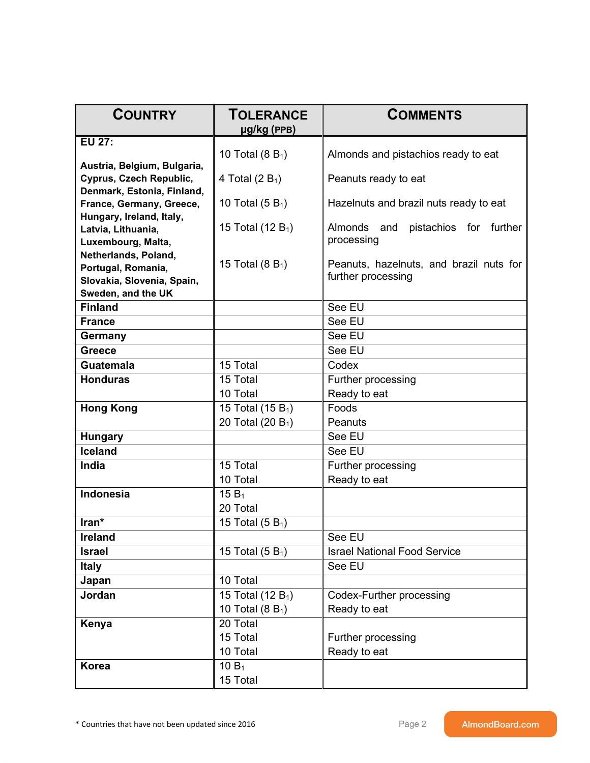| <b>COUNTRY</b>                             | <b>TOLERANCE</b>              | <b>COMMENTS</b>                             |
|--------------------------------------------|-------------------------------|---------------------------------------------|
| <b>EU 27:</b>                              | µg/kg (PPB)                   |                                             |
|                                            | 10 Total $(8 B_1)$            | Almonds and pistachios ready to eat         |
| Austria, Belgium, Bulgaria,                |                               |                                             |
| Cyprus, Czech Republic,                    | 4 Total $(2 B_1)$             | Peanuts ready to eat                        |
| Denmark, Estonia, Finland,                 |                               |                                             |
| France, Germany, Greece,                   | 10 Total $(5 B_1)$            | Hazelnuts and brazil nuts ready to eat      |
| Hungary, Ireland, Italy,                   | 15 Total (12 $B_1$ )          | Almonds<br>and<br>pistachios for<br>further |
| Latvia, Lithuania,                         |                               | processing                                  |
| Luxembourg, Malta,<br>Netherlands, Poland, |                               |                                             |
| Portugal, Romania,                         | 15 Total $(8 B_1)$            | Peanuts, hazelnuts, and brazil nuts for     |
| Slovakia, Slovenia, Spain,                 |                               | further processing                          |
| Sweden, and the UK                         |                               |                                             |
| <b>Finland</b>                             |                               | See EU                                      |
| <b>France</b>                              |                               | See EU                                      |
| Germany                                    |                               | See EU                                      |
| <b>Greece</b>                              |                               | See EU                                      |
| <b>Guatemala</b>                           | 15 Total                      | Codex                                       |
| <b>Honduras</b>                            | 15 Total                      | Further processing                          |
|                                            | 10 Total                      | Ready to eat                                |
| <b>Hong Kong</b>                           | 15 Total (15 B <sub>1</sub> ) | Foods                                       |
|                                            | 20 Total (20 B <sub>1</sub> ) | Peanuts                                     |
| <b>Hungary</b>                             |                               | See EU                                      |
| <b>Iceland</b>                             |                               | See EU                                      |
| India                                      | 15 Total                      | Further processing                          |
|                                            | 10 Total                      | Ready to eat                                |
| <b>Indonesia</b>                           | 15 $B_1$                      |                                             |
|                                            | 20 Total                      |                                             |
| Iran*                                      | 15 Total $(5 B_1)$            |                                             |
| Ireland                                    |                               | See EU                                      |
| <b>Israel</b>                              | 15 Total $(5 B1)$             | <b>Israel National Food Service</b>         |
| <b>Italy</b>                               |                               | See EU                                      |
| Japan                                      | 10 Total                      |                                             |
| Jordan                                     | 15 Total (12 B <sub>1</sub> ) | Codex-Further processing                    |
|                                            | 10 Total ( $8B_1$ )           | Ready to eat                                |
| Kenya                                      | 20 Total                      |                                             |
|                                            | 15 Total                      | Further processing                          |
|                                            | 10 Total                      | Ready to eat                                |
| <b>Korea</b>                               | 10 $B_1$                      |                                             |
|                                            | 15 Total                      |                                             |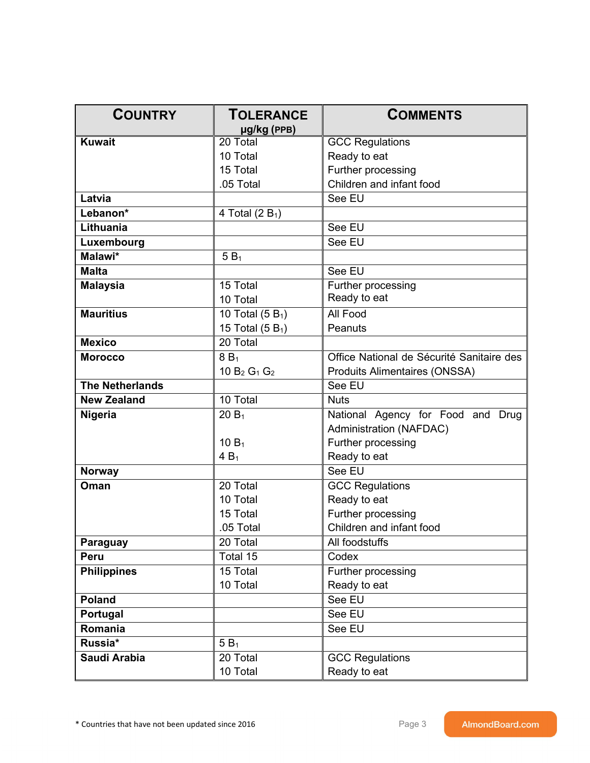| <b>COUNTRY</b>         | <b>TOLERANCE</b><br>µg/kg (PPB) | <b>COMMENTS</b>                           |
|------------------------|---------------------------------|-------------------------------------------|
| <b>Kuwait</b>          | 20 Total                        | <b>GCC Regulations</b>                    |
|                        | 10 Total                        | Ready to eat                              |
|                        | 15 Total                        | Further processing                        |
|                        | .05 Total                       | Children and infant food                  |
| Latvia                 |                                 | See EU                                    |
| Lebanon*               | 4 Total (2 $B_1$ )              |                                           |
| Lithuania              |                                 | See EU                                    |
| Luxembourg             |                                 | See EU                                    |
| Malawi*                | $5B_1$                          |                                           |
| <b>Malta</b>           |                                 | See EU                                    |
| <b>Malaysia</b>        | 15 Total                        | Further processing                        |
|                        | 10 Total                        | Ready to eat                              |
| <b>Mauritius</b>       | 10 Total $(5 B1)$               | All Food                                  |
|                        | 15 Total $(5 B1)$               | Peanuts                                   |
| <b>Mexico</b>          | 20 Total                        |                                           |
| <b>Morocco</b>         | $8B_1$                          | Office National de Sécurité Sanitaire des |
|                        | 10 $B_2$ $G_1$ $G_2$            | <b>Produits Alimentaires (ONSSA)</b>      |
| <b>The Netherlands</b> |                                 | See EU                                    |
| <b>New Zealand</b>     | 10 Total                        | <b>Nuts</b>                               |
| <b>Nigeria</b>         | $20B_1$                         | National Agency for Food and Drug         |
|                        |                                 | <b>Administration (NAFDAC)</b>            |
|                        | 10 B <sub>1</sub>               | Further processing                        |
|                        | $4B_1$                          | Ready to eat                              |
| <b>Norway</b>          |                                 | See EU                                    |
| Oman                   | 20 Total                        | <b>GCC Regulations</b>                    |
|                        | 10 Total                        | Ready to eat                              |
|                        | 15 Total                        | Further processing                        |
|                        | .05 Total                       | Children and infant food                  |
| <b>Paraguay</b>        | 20 Total                        | All foodstuffs                            |
| <b>Peru</b>            | Total 15                        | Codex                                     |
| <b>Philippines</b>     | 15 Total                        | Further processing                        |
|                        | 10 Total                        | Ready to eat                              |
| <b>Poland</b>          |                                 | See EU                                    |
| Portugal               |                                 | See EU                                    |
| Romania                |                                 | See EU                                    |
| Russia*                | $5B_1$                          |                                           |
| Saudi Arabia           | 20 Total                        | <b>GCC Regulations</b>                    |
|                        | 10 Total                        | Ready to eat                              |